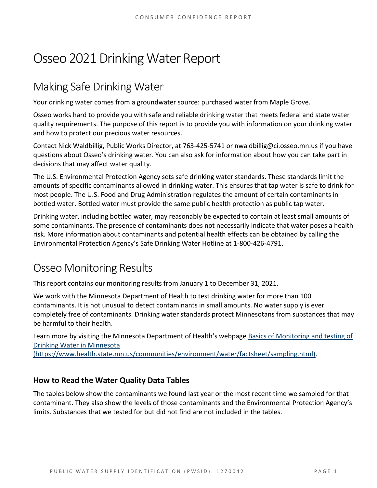# Osseo 2021 Drinking Water Report

## Making Safe Drinking Water

Your drinking water comes from a groundwater source: purchased water from Maple Grove.

Osseo works hard to provide you with safe and reliable drinking water that meets federal and state water quality requirements. The purpose of this report is to provide you with information on your drinking water and how to protect our precious water resources.

Contact Nick Waldbillig, Public Works Director, at 763-425-5741 or nwaldbillig@ci.osseo.mn.us if you have questions about Osseo's drinking water. You can also ask for information about how you can take part in decisions that may affect water quality.

The U.S. Environmental Protection Agency sets safe drinking water standards. These standards limit the amounts of specific contaminants allowed in drinking water. This ensures that tap water is safe to drink for most people. The U.S. Food and Drug Administration regulates the amount of certain contaminants in bottled water. Bottled water must provide the same public health protection as public tap water.

Drinking water, including bottled water, may reasonably be expected to contain at least small amounts of some contaminants. The presence of contaminants does not necessarily indicate that water poses a health risk. More information about contaminants and potential health effects can be obtained by calling the Environmental Protection Agency's Safe Drinking Water Hotline at 1-800-426-4791.

## Osseo Monitoring Results

This report contains our monitoring results from January 1 to December 31, 2021.

We work with the Minnesota Department of Health to test drinking water for more than 100 contaminants. It is not unusual to detect contaminants in small amounts. No water supply is ever completely free of contaminants. Drinking water standards protect Minnesotans from substances that may be harmful to their health.

Learn more by visiting the Minnesota Department of Health's webpage [Basics of Monitoring and testing of](https://www.health.state.mn.us/communities/environment/water/factsheet/sampling.html)  [Drinking Water in Minnesota](https://www.health.state.mn.us/communities/environment/water/factsheet/sampling.html) 

[\(https://www.health.state.mn.us/communities/environment/water/factsheet/sampling.html\).](https://www.health.state.mn.us/communities/environment/water/factsheet/sampling.html)

## **How to Read the Water Quality Data Tables**

The tables below show the contaminants we found last year or the most recent time we sampled for that contaminant. They also show the levels of those contaminants and the Environmental Protection Agency's limits. Substances that we tested for but did not find are not included in the tables.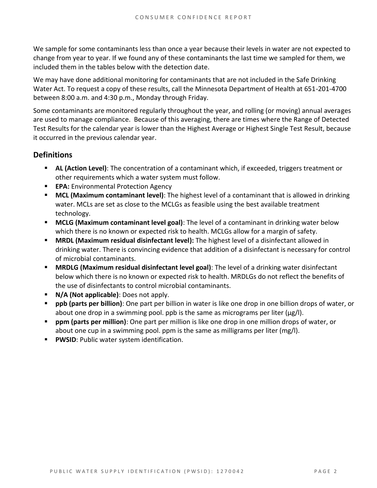We sample for some contaminants less than once a year because their levels in water are not expected to change from year to year. If we found any of these contaminants the last time we sampled for them, we included them in the tables below with the detection date.

We may have done additional monitoring for contaminants that are not included in the Safe Drinking Water Act. To request a copy of these results, call the Minnesota Department of Health at 651-201-4700 between 8:00 a.m. and 4:30 p.m., Monday through Friday.

Some contaminants are monitored regularly throughout the year, and rolling (or moving) annual averages are used to manage compliance. Because of this averaging, there are times where the Range of Detected Test Results for the calendar year is lower than the Highest Average or Highest Single Test Result, because it occurred in the previous calendar year.

#### **Definitions**

- AL (Action Level): The concentration of a contaminant which, if exceeded, triggers treatment or other requirements which a water system must follow.
- **EPA:** Environmental Protection Agency
- **MCL (Maximum contaminant level)**: The highest level of a contaminant that is allowed in drinking water. MCLs are set as close to the MCLGs as feasible using the best available treatment technology.
- **MCLG (Maximum contaminant level goal)**: The level of a contaminant in drinking water below which there is no known or expected risk to health. MCLGs allow for a margin of safety.
- **MRDL (Maximum residual disinfectant level):** The highest level of a disinfectant allowed in drinking water. There is convincing evidence that addition of a disinfectant is necessary for control of microbial contaminants.
- **MRDLG (Maximum residual disinfectant level goal)**: The level of a drinking water disinfectant below which there is no known or expected risk to health. MRDLGs do not reflect the benefits of the use of disinfectants to control microbial contaminants.
- **N/A (Not applicable)**: Does not apply.
- **ppb (parts per billion)**: One part per billion in water is like one drop in one billion drops of water, or about one drop in a swimming pool. ppb is the same as micrograms per liter ( $\mu$ g/l).
- **ppm (parts per million)**: One part per million is like one drop in one million drops of water, or about one cup in a swimming pool. ppm is the same as milligrams per liter (mg/l).
- **PWSID: Public water system identification.**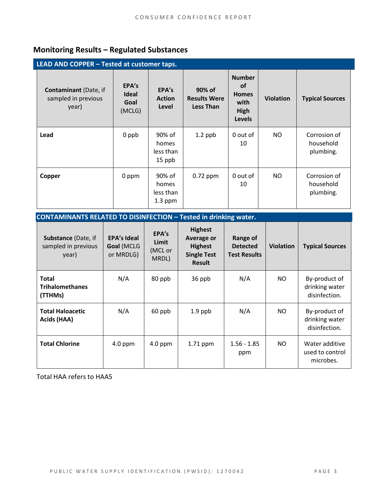## **Monitoring Results – Regulated Substances**

| LEAD AND COPPER - Tested at customer taps.                   |                                         |                                           |                                                   |                                                                             |                  |                                        |  |  |  |  |
|--------------------------------------------------------------|-----------------------------------------|-------------------------------------------|---------------------------------------------------|-----------------------------------------------------------------------------|------------------|----------------------------------------|--|--|--|--|
| <b>Contaminant</b> (Date, if<br>sampled in previous<br>year) | EPA's<br><b>Ideal</b><br>Goal<br>(MCLG) | EPA's<br><b>Action</b><br>Level           | 90% of<br><b>Results Were</b><br><b>Less Than</b> | <b>Number</b><br><b>of</b><br><b>Homes</b><br>with<br>High<br><b>Levels</b> | <b>Violation</b> | <b>Typical Sources</b>                 |  |  |  |  |
| Lead                                                         | 0 ppb                                   | 90% of<br>homes<br>less than<br>15 ppb    | $1.2$ ppb                                         | 0 out of<br>10                                                              | NO.              | Corrosion of<br>household<br>plumbing. |  |  |  |  |
| Copper                                                       | 0 ppm                                   | 90% of<br>homes<br>less than<br>$1.3$ ppm | $0.72$ ppm                                        | 0 out of<br>10                                                              | NO               | Corrosion of<br>household<br>plumbing. |  |  |  |  |

| <b>CONTAMINANTS RELATED TO DISINFECTION - Tested in drinking water.</b> |                                               |                                    |                                                                                              |                                                    |                  |                                                  |  |  |  |  |
|-------------------------------------------------------------------------|-----------------------------------------------|------------------------------------|----------------------------------------------------------------------------------------------|----------------------------------------------------|------------------|--------------------------------------------------|--|--|--|--|
| <b>Substance (Date, if</b><br>sampled in previous<br>year)              | <b>EPA's Ideal</b><br>Goal (MCLG<br>or MRDLG) | EPA's<br>Limit<br>(MCL or<br>MRDL) | <b>Highest</b><br><b>Average or</b><br><b>Highest</b><br><b>Single Test</b><br><b>Result</b> | Range of<br><b>Detected</b><br><b>Test Results</b> | <b>Violation</b> | <b>Typical Sources</b>                           |  |  |  |  |
| <b>Total</b><br><b>Trihalomethanes</b><br>(TTHMs)                       | N/A                                           | 80 ppb                             | 36 ppb                                                                                       | N/A                                                | NO.              | By-product of<br>drinking water<br>disinfection. |  |  |  |  |
| <b>Total Haloacetic</b><br>Acids (HAA)                                  | N/A                                           | 60 ppb                             | $1.9$ ppb                                                                                    | N/A                                                | NO.              | By-product of<br>drinking water<br>disinfection. |  |  |  |  |
| <b>Total Chlorine</b>                                                   | $4.0$ ppm                                     | $4.0$ ppm                          | 1.71 ppm                                                                                     | $1.56 - 1.85$<br>ppm                               | NO.              | Water additive<br>used to control<br>microbes.   |  |  |  |  |

Total HAA refers to HAA5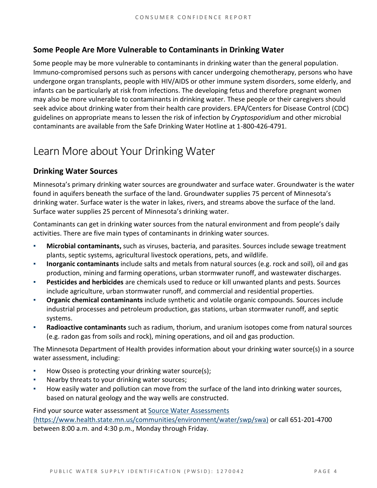## **Some People Are More Vulnerable to Contaminants in Drinking Water**

Some people may be more vulnerable to contaminants in drinking water than the general population. Immuno-compromised persons such as persons with cancer undergoing chemotherapy, persons who have undergone organ transplants, people with HIV/AIDS or other immune system disorders, some elderly, and infants can be particularly at risk from infections. The developing fetus and therefore pregnant women may also be more vulnerable to contaminants in drinking water. These people or their caregivers should seek advice about drinking water from their health care providers. EPA/Centers for Disease Control (CDC) guidelines on appropriate means to lessen the risk of infection by *Cryptosporidium* and other microbial contaminants are available from the Safe Drinking Water Hotline at 1-800-426-4791.

## Learn More about Your Drinking Water

## **Drinking Water Sources**

Minnesota's primary drinking water sources are groundwater and surface water. Groundwater is the water found in aquifers beneath the surface of the land. Groundwater supplies 75 percent of Minnesota's drinking water. Surface water is the water in lakes, rivers, and streams above the surface of the land. Surface water supplies 25 percent of Minnesota's drinking water.

Contaminants can get in drinking water sources from the natural environment and from people's daily activities. There are five main types of contaminants in drinking water sources.

- **Microbial contaminants,** such as viruses, bacteria, and parasites. Sources include sewage treatment plants, septic systems, agricultural livestock operations, pets, and wildlife.
- Inorganic contaminants include salts and metals from natural sources (e.g. rock and soil), oil and gas production, mining and farming operations, urban stormwater runoff, and wastewater discharges.
- **Pesticides and herbicides** are chemicals used to reduce or kill unwanted plants and pests. Sources include agriculture, urban stormwater runoff, and commercial and residential properties.
- **Organic chemical contaminants** include synthetic and volatile organic compounds. Sources include industrial processes and petroleum production, gas stations, urban stormwater runoff, and septic systems.
- Radioactive contaminants such as radium, thorium, and uranium isotopes come from natural sources (e.g. radon gas from soils and rock), mining operations, and oil and gas production.

The Minnesota Department of Health provides information about your drinking water source(s) in a source water assessment, including:

- How Osseo is protecting your drinking water source(s);
- Nearby threats to your drinking water sources;
- How easily water and pollution can move from the surface of the land into drinking water sources, based on natural geology and the way wells are constructed.

Find your source water assessment at [Source Water Assessments](https://www.health.state.mn.us/communities/environment/water/swp/swa)  [\(https://www.health.state.mn.us/communities/environment/water/swp/swa\)](https://www.health.state.mn.us/communities/environment/water/swp/swa) or call 651-201-4700 between 8:00 a.m. and 4:30 p.m., Monday through Friday.